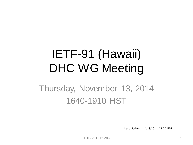# IETF-91 (Hawaii) DHC WG Meeting

#### Thursday, November 13, 2014 1640-1910 HST

Last Updated: 11/13/2014 21:00 EST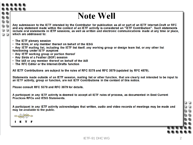#### **Note Well**

Any submission to the IETF intended by the Contributor for publication as all or part of an IETF Internet-Draft or RFC and any statement made within the context of an IETF activity is considered an "IETF Contribution". Such statements include oral statements in IETF sessions, as well as written and electronic communications made at any time or place. which are addressed to:

- The IETF plenary session
- . The IESG, or any member thereof on behalf of the IESG
- . Any IETF mailing list, including the IETF list itself, any working group or design team list, or any other list functioning under IETF auspices
- Any IETF working group or portion thereof
- Any Birds of a Feather (BOF) session
- . The IAB or any member thereof on behalf of the IAB
- The RFC Editor or the Internet-Drafts function

All IETF Contributions are subject to the rules of RFC 5378 and RFC 3979 (updated by RFC 4879).

Statements made outside of an IETF session, mailing list or other function, that are clearly not intended to be input to an IETF activity, group or function, are not IETF Contributions in the context of this notice.

Please consult RFC 5378 and RFC 3979 for details.

A participant in any IETF activity is deemed to accept all IETF rules of process, as documented in Best Current **Practices RFCs and IESG Statements.** 

A participant in any IETF activity acknowledges that written, audio and video records of meetings may be made and may be available to the public.

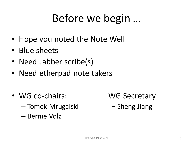#### Before we begin …

- Hope you noted the Note Well
- Blue sheets
- Need Jabber scribe(s)!
- Need etherpad note takers
- WG co-chairs: WG Secretary:
	- Tomek Mrugalski − Sheng Jiang
	- Bernie Volz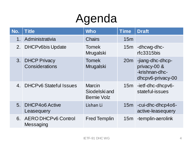# Agenda

| No.              | <b>Title</b>                               | <b>Who</b>                                           | <b>Time</b> | <b>Draft</b>                                                            |
|------------------|--------------------------------------------|------------------------------------------------------|-------------|-------------------------------------------------------------------------|
| 1 <sub>1</sub>   | Administrativia                            | <b>Chairs</b>                                        | 15m         |                                                                         |
| 2.               | <b>DHCPv6bis Update</b>                    | <b>Tomek</b><br>Mrugalski                            | 15m         | -dhcwg-dhc-<br>$rfc3315$ bis                                            |
| 3.               | <b>DHCP Privacy</b><br>Considerations      | <b>Tomek</b><br>Mrugalski                            | 20m         | -jiang-dhc-dhcp-<br>privacy-00 &<br>-krishnan-dhc-<br>dhcpv6-privacy-00 |
| $\mathbf{4}_{-}$ | <b>DHCPv6 Stateful Issues</b>              | <b>Marcin</b><br>Siodelski and<br><b>Bernie Volz</b> | 15m         | -ietf-dhc-dhcpv6-<br>stateful-issues                                    |
| 5 <sub>1</sub>   | DHCP406 Active<br>Leasequery               | Lishan Li                                            | 15m         | -cui-dhc-dhcp4o6-<br>active-leasequery                                  |
|                  | 6. AERO DHCPv6 Control<br><b>Messaging</b> | <b>Fred Templin</b>                                  | 15m         | -templin-aerolink                                                       |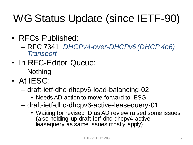## WG Status Update (since IETF-90)

- RFCs Published:
	- RFC 7341, *DHCPv4-over-DHCPv6 (DHCP 4o6) Transport*
- In RFC-Editor Queue:
	- Nothing
- At IESG:
	- draft-ietf-dhc-dhcpv6-load-balancing-02
		- Needs AD action to move forward to IESG
	- draft-ietf-dhc-dhcpv6-active-leasequery-01
		- Waiting for revised ID as AD review raised some issues (also holding up draft-ietf-dhc-dhcpv4-activeleasequery as same issues mostly apply)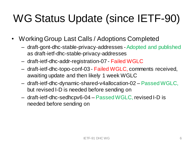## WG Status Update (since IETF-90)

- Working Group Last Calls / Adoptions Completed
	- draft-gont-dhc-stable-privacy-addresses -Adopted and published as draft-ietf-dhc-stable-privacy-addresses
	- draft-ietf-dhc-addr-registration-07 Failed WGLC
	- draft-ietf-dhc-topo-conf-03 Failed WGLC, comments received, awaiting update and then likely 1 week WGLC
	- draft-ietf-dhc-dynamic-shared-v4allocation-02 Passed WGLC, but revised I-D is needed before sending on
	- draft-ietf-dhc-sedhcpv6-04 Passed WGLC, revised I-D is needed before sending on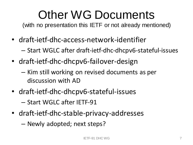# Other WG Documents

(with no presentation this IETF or not already mentioned)

- draft-ietf-dhc-access-network-identifier
	- Start WGLC after draft-ietf-dhc-dhcpv6-stateful-issues
- draft-ietf-dhc-dhcpv6-failover-design
	- Kim still working on revised documents as per discussion with AD
- draft-ietf-dhc-dhcpv6-stateful-issues

– Start WGLC after IETF-91

- draft-ietf-dhc-stable-privacy-addresses
	- Newly adopted; next steps?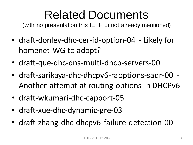# Related Documents

(with no presentation this IETF or not already mentioned)

- draft-donley-dhc-cer-id-option-04 Likely for homenet WG to adopt?
- draft-que-dhc-dns-multi-dhcp-servers-00
- draft-sarikaya-dhc-dhcpv6-raoptions-sadr-00 Another attempt at routing options in DHCPv6
- draft-wkumari-dhc-capport-05
- draft-xue-dhc-dynamic-gre-03
- draft-zhang-dhc-dhcpv6-failure-detection-00